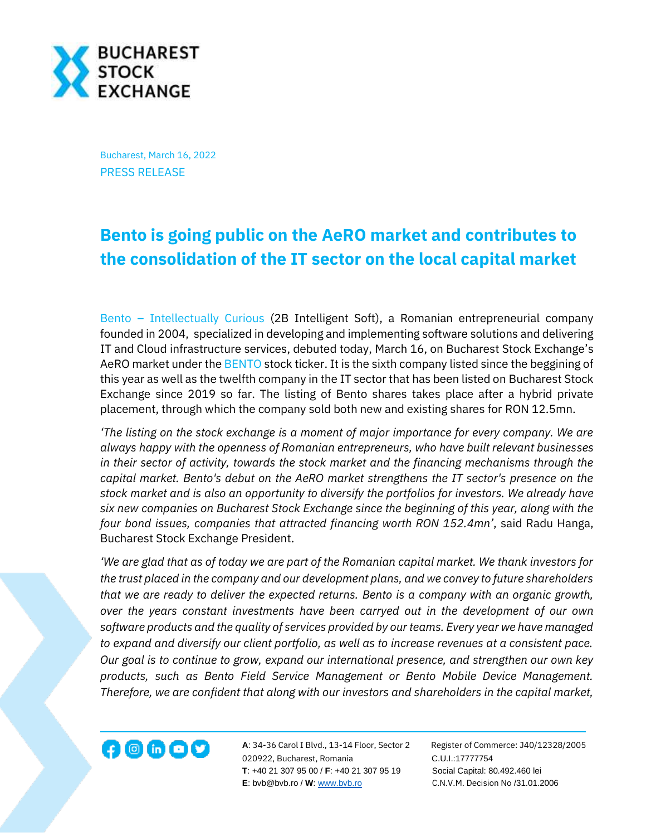

Bucharest, March 16, 2022 PRESS RELEASE

## **Bento is going public on the AeRO market and contributes to the consolidation of the IT sector on the local capital market**

Bento – [Intellectually Curious](https://www.bento.ro/) (2B Intelligent Soft), a Romanian entrepreneurial company founded in 2004, specialized in developing and implementing software solutions and delivering IT and Cloud infrastructure services, debuted today, March 16, on Bucharest Stock Exchange's AeRO market under th[e BENTO](https://bvb.ro/FinancialInstruments/Details/FinancialInstrumentsDetails.aspx?s=BENTO) stock ticker. It is the sixth company listed since the beggining of this year as well as the twelfth company in the IT sector that has been listed on Bucharest Stock Exchange since 2019 so far. The listing of Bento shares takes place after a hybrid private placement, through which the company sold both new and existing shares for RON 12.5mn.

*'The listing on the stock exchange is a moment of major importance for every company. We are always happy with the openness of Romanian entrepreneurs, who have built relevant businesses in their sector of activity, towards the stock market and the financing mechanisms through the capital market. Bento's debut on the AeRO market strengthens the IT sector's presence on the stock market and is also an opportunity to diversify the portfolios for investors. We already have six new companies on Bucharest Stock Exchange since the beginning of this year, along with the four bond issues, companies that attracted financing worth RON 152.4mn'*, said Radu Hanga, Bucharest Stock Exchange President.

*'We are glad that as of today we are part of the Romanian capital market. We thank investors for the trust placed in the company and our development plans, and we convey to future shareholders that we are ready to deliver the expected returns. Bento is a company with an organic growth, over the years constant investments have been carryed out in the development of our own software products and the quality of services provided by our teams. Every year we have managed to expand and diversify our client portfolio, as well as to increase revenues at a consistent pace. Our goal is to continue to grow, expand our international presence, and strengthen our own key products, such as Bento Field Service Management or Bento Mobile Device Management. Therefore, we are confident that along with our investors and shareholders in the capital market,* 



**A**: 34-36 Carol I Blvd., 13-14 Floor, Sector 2 Register of Commerce: J40/12328/2005 020922, Bucharest, Romania C.U.I.:17777754  **T**: +40 21 307 95 00 / **F**: +40 21 307 95 19 Social Capital: 80.492.460 lei **E**: bvb@bvb.ro / **W**[: www.bvb.ro](http://www.bvb.ro/) C.N.V.M. Decision No /31.01.2006